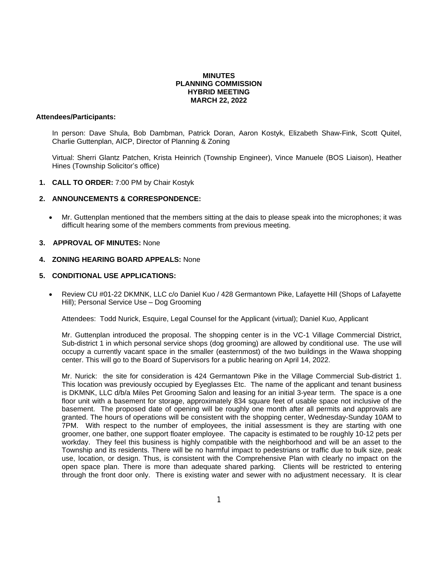# **MINUTES PLANNING COMMISSION HYBRID MEETING MARCH 22, 2022**

## **Attendees/Participants:**

In person: Dave Shula, Bob Dambman, Patrick Doran, Aaron Kostyk, Elizabeth Shaw-Fink, Scott Quitel, Charlie Guttenplan, AICP, Director of Planning & Zoning

Virtual: Sherri Glantz Patchen, Krista Heinrich (Township Engineer), Vince Manuele (BOS Liaison), Heather Hines (Township Solicitor's office)

**1. CALL TO ORDER:** 7:00 PM by Chair Kostyk

# **2. ANNOUNCEMENTS & CORRESPONDENCE:**

 Mr. Guttenplan mentioned that the members sitting at the dais to please speak into the microphones; it was difficult hearing some of the members comments from previous meeting.

## **3. APPROVAL OF MINUTES:** None

# **4. ZONING HEARING BOARD APPEALS:** None

# **5. CONDITIONAL USE APPLICATIONS:**

 Review CU #01-22 DKMNK, LLC c/o Daniel Kuo / 428 Germantown Pike, Lafayette Hill (Shops of Lafayette Hill); Personal Service Use – Dog Grooming

Attendees: Todd Nurick, Esquire, Legal Counsel for the Applicant (virtual); Daniel Kuo, Applicant

Mr. Guttenplan introduced the proposal. The shopping center is in the VC-1 Village Commercial District, Sub-district 1 in which personal service shops (dog grooming) are allowed by conditional use. The use will occupy a currently vacant space in the smaller (easternmost) of the two buildings in the Wawa shopping center. This will go to the Board of Supervisors for a public hearing on April 14, 2022.

Mr. Nurick: the site for consideration is 424 Germantown Pike in the Village Commercial Sub-district 1. This location was previously occupied by Eyeglasses Etc. The name of the applicant and tenant business is DKMNK, LLC d/b/a Miles Pet Grooming Salon and leasing for an initial 3-year term. The space is a one floor unit with a basement for storage, approximately 834 square feet of usable space not inclusive of the basement. The proposed date of opening will be roughly one month after all permits and approvals are granted. The hours of operations will be consistent with the shopping center, Wednesday-Sunday 10AM to 7PM. With respect to the number of employees, the initial assessment is they are starting with one groomer, one bather, one support floater employee. The capacity is estimated to be roughly 10-12 pets per workday. They feel this business is highly compatible with the neighborhood and will be an asset to the Township and its residents. There will be no harmful impact to pedestrians or traffic due to bulk size, peak use, location, or design. Thus, is consistent with the Comprehensive Plan with clearly no impact on the open space plan. There is more than adequate shared parking. Clients will be restricted to entering through the front door only. There is existing water and sewer with no adjustment necessary. It is clear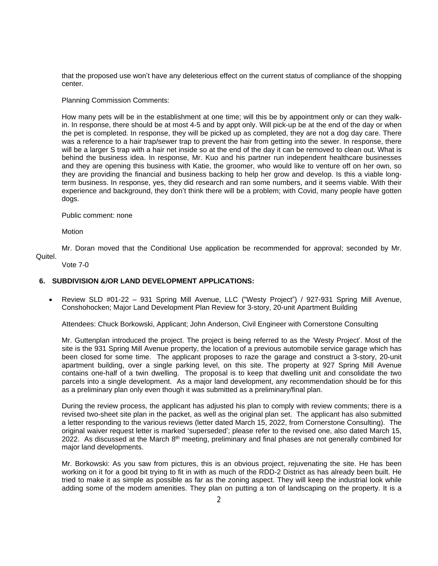that the proposed use won't have any deleterious effect on the current status of compliance of the shopping center.

Planning Commission Comments:

How many pets will be in the establishment at one time; will this be by appointment only or can they walkin. In response, there should be at most 4-5 and by appt only. Will pick-up be at the end of the day or when the pet is completed. In response, they will be picked up as completed, they are not a dog day care. There was a reference to a hair trap/sewer trap to prevent the hair from getting into the sewer. In response, there will be a larger S trap with a hair net inside so at the end of the day it can be removed to clean out. What is behind the business idea. In response, Mr. Kuo and his partner run independent healthcare businesses and they are opening this business with Katie, the groomer, who would like to venture off on her own, so they are providing the financial and business backing to help her grow and develop. Is this a viable longterm business. In response, yes, they did research and ran some numbers, and it seems viable. With their experience and background, they don't think there will be a problem; with Covid, many people have gotten dogs.

Public comment: none

Motion

Mr. Doran moved that the Conditional Use application be recommended for approval; seconded by Mr. Quitel.

Vote 7-0

# **6. SUBDIVISION &/OR LAND DEVELOPMENT APPLICATIONS:**

 Review SLD #01-22 – 931 Spring Mill Avenue, LLC ("Westy Project") / 927-931 Spring Mill Avenue, Conshohocken; Major Land Development Plan Review for 3-story, 20-unit Apartment Building

Attendees: Chuck Borkowski, Applicant; John Anderson, Civil Engineer with Cornerstone Consulting

Mr. Guttenplan introduced the project. The project is being referred to as the 'Westy Project'. Most of the site is the 931 Spring Mill Avenue property, the location of a previous automobile service garage which has been closed for some time. The applicant proposes to raze the garage and construct a 3-story, 20-unit apartment building, over a single parking level, on this site. The property at 927 Spring Mill Avenue contains one-half of a twin dwelling. The proposal is to keep that dwelling unit and consolidate the two parcels into a single development. As a major land development, any recommendation should be for this as a preliminary plan only even though it was submitted as a preliminary/final plan.

During the review process, the applicant has adjusted his plan to comply with review comments; there is a revised two-sheet site plan in the packet, as well as the original plan set. The applicant has also submitted a letter responding to the various reviews (letter dated March 15, 2022, from Cornerstone Consulting). The original waiver request letter is marked 'superseded'; please refer to the revised one, also dated March 15, 2022. As discussed at the March  $8<sup>th</sup>$  meeting, preliminary and final phases are not generally combined for major land developments.

Mr. Borkowski: As you saw from pictures, this is an obvious project, rejuvenating the site. He has been working on it for a good bit trying to fit in with as much of the RDD-2 District as has already been built. He tried to make it as simple as possible as far as the zoning aspect. They will keep the industrial look while adding some of the modern amenities. They plan on putting a ton of landscaping on the property. It is a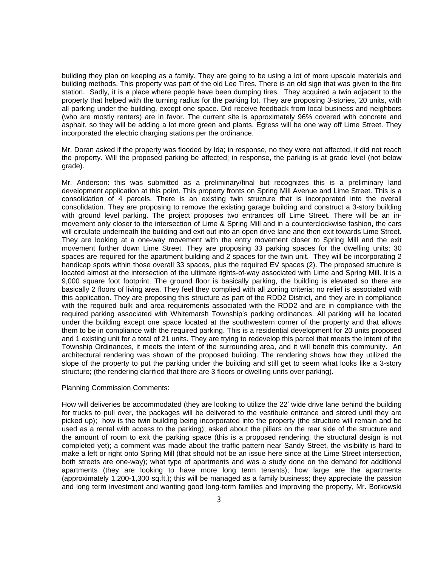building they plan on keeping as a family. They are going to be using a lot of more upscale materials and building methods. This property was part of the old Lee Tires. There is an old sign that was given to the fire station. Sadly, it is a place where people have been dumping tires. They acquired a twin adjacent to the property that helped with the turning radius for the parking lot. They are proposing 3-stories, 20 units, with all parking under the building, except one space. Did receive feedback from local business and neighbors (who are mostly renters) are in favor. The current site is approximately 96% covered with concrete and asphalt, so they will be adding a lot more green and plants. Egress will be one way off Lime Street. They incorporated the electric charging stations per the ordinance.

Mr. Doran asked if the property was flooded by Ida; in response, no they were not affected, it did not reach the property. Will the proposed parking be affected; in response, the parking is at grade level (not below grade).

Mr. Anderson: this was submitted as a preliminary/final but recognizes this is a preliminary land development application at this point. This property fronts on Spring Mill Avenue and Lime Street. This is a consolidation of 4 parcels. There is an existing twin structure that is incorporated into the overall consolidation. They are proposing to remove the existing garage building and construct a 3-story building with ground level parking. The project proposes two entrances off Lime Street. There will be an inmovement only closer to the intersection of Lime & Spring Mill and in a counterclockwise fashion, the cars will circulate underneath the building and exit out into an open drive lane and then exit towards Lime Street. They are looking at a one-way movement with the entry movement closer to Spring Mill and the exit movement further down Lime Street. They are proposing 33 parking spaces for the dwelling units; 30 spaces are required for the apartment building and 2 spaces for the twin unit. They will be incorporating 2 handicap spots within those overall 33 spaces, plus the required EV spaces (2). The proposed structure is located almost at the intersection of the ultimate rights-of-way associated with Lime and Spring Mill. It is a 9,000 square foot footprint. The ground floor is basically parking, the building is elevated so there are basically 2 floors of living area. They feel they complied with all zoning criteria; no relief is associated with this application. They are proposing this structure as part of the RDD2 District, and they are in compliance with the required bulk and area requirements associated with the RDD2 and are in compliance with the required parking associated with Whitemarsh Township's parking ordinances. All parking will be located under the building except one space located at the southwestern corner of the property and that allows them to be in compliance with the required parking. This is a residential development for 20 units proposed and 1 existing unit for a total of 21 units. They are trying to redevelop this parcel that meets the intent of the Township Ordinances, it meets the intent of the surrounding area, and it will benefit this community. An architectural rendering was shown of the proposed building. The rendering shows how they utilized the slope of the property to put the parking under the building and still get to seem what looks like a 3-story structure; (the rendering clarified that there are 3 floors or dwelling units over parking).

#### Planning Commission Comments:

How will deliveries be accommodated (they are looking to utilize the 22' wide drive lane behind the building for trucks to pull over, the packages will be delivered to the vestibule entrance and stored until they are picked up); how is the twin building being incorporated into the property (the structure will remain and be used as a rental with access to the parking); asked about the pillars on the rear side of the structure and the amount of room to exit the parking space (this is a proposed rendering, the structural design is not completed yet); a comment was made about the traffic pattern near Sandy Street, the visibility is hard to make a left or right onto Spring Mill (that should not be an issue here since at the Lime Street intersection, both streets are one-way); what type of apartments and was a study done on the demand for additional apartments (they are looking to have more long term tenants); how large are the apartments (approximately 1,200-1,300 sq.ft.); this will be managed as a family business; they appreciate the passion and long term investment and wanting good long-term families and improving the property, Mr. Borkowski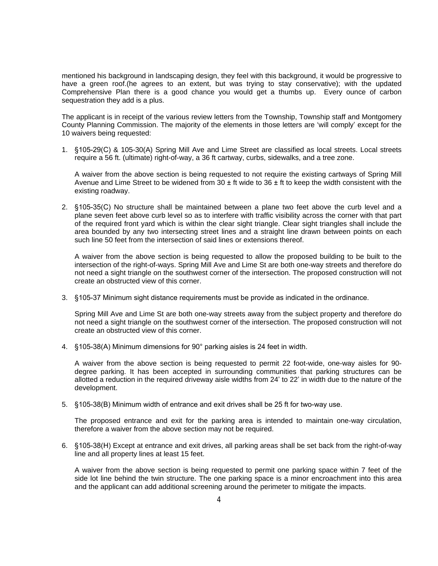mentioned his background in landscaping design, they feel with this background, it would be progressive to have a green roof.(he agrees to an extent, but was trying to stay conservative); with the updated Comprehensive Plan there is a good chance you would get a thumbs up. Every ounce of carbon sequestration they add is a plus.

The applicant is in receipt of the various review letters from the Township, Township staff and Montgomery County Planning Commission. The majority of the elements in those letters are 'will comply' except for the 10 waivers being requested:

1. §105-29(C) & 105-30(A) Spring Mill Ave and Lime Street are classified as local streets. Local streets require a 56 ft. (ultimate) right-of-way, a 36 ft cartway, curbs, sidewalks, and a tree zone.

A waiver from the above section is being requested to not require the existing cartways of Spring Mill Avenue and Lime Street to be widened from  $30 \pm ft$  wide to  $36 \pm ft$  to keep the width consistent with the existing roadway.

2. §105-35(C) No structure shall be maintained between a plane two feet above the curb level and a plane seven feet above curb level so as to interfere with traffic visibility across the corner with that part of the required front yard which is within the clear sight triangle. Clear sight triangles shall include the area bounded by any two intersecting street lines and a straight line drawn between points on each such line 50 feet from the intersection of said lines or extensions thereof.

A waiver from the above section is being requested to allow the proposed building to be built to the intersection of the right-of-ways. Spring Mill Ave and Lime St are both one-way streets and therefore do not need a sight triangle on the southwest corner of the intersection. The proposed construction will not create an obstructed view of this corner.

3. §105-37 Minimum sight distance requirements must be provide as indicated in the ordinance.

Spring Mill Ave and Lime St are both one-way streets away from the subject property and therefore do not need a sight triangle on the southwest corner of the intersection. The proposed construction will not create an obstructed view of this corner.

4. §105-38(A) Minimum dimensions for 90° parking aisles is 24 feet in width.

A waiver from the above section is being requested to permit 22 foot-wide, one-way aisles for 90 degree parking. It has been accepted in surrounding communities that parking structures can be allotted a reduction in the required driveway aisle widths from 24' to 22' in width due to the nature of the development.

5. §105-38(B) Minimum width of entrance and exit drives shall be 25 ft for two-way use.

The proposed entrance and exit for the parking area is intended to maintain one-way circulation, therefore a waiver from the above section may not be required.

6. §105-38(H) Except at entrance and exit drives, all parking areas shall be set back from the right-of-way line and all property lines at least 15 feet.

A waiver from the above section is being requested to permit one parking space within 7 feet of the side lot line behind the twin structure. The one parking space is a minor encroachment into this area and the applicant can add additional screening around the perimeter to mitigate the impacts.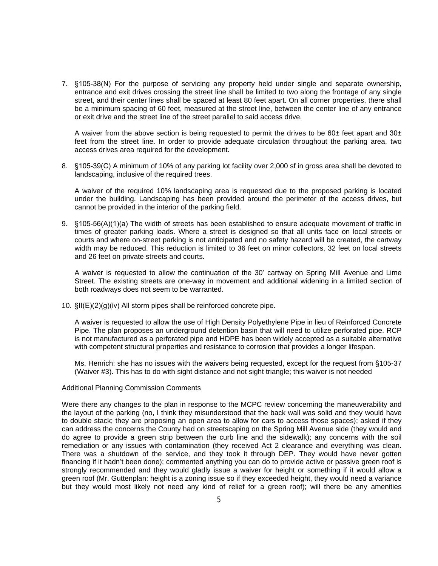7. §105-38(N) For the purpose of servicing any property held under single and separate ownership, entrance and exit drives crossing the street line shall be limited to two along the frontage of any single street, and their center lines shall be spaced at least 80 feet apart. On all corner properties, there shall be a minimum spacing of 60 feet, measured at the street line, between the center line of any entrance or exit drive and the street line of the street parallel to said access drive.

A waiver from the above section is being requested to permit the drives to be 60 $\pm$  feet apart and 30 $\pm$ feet from the street line. In order to provide adequate circulation throughout the parking area, two access drives area required for the development.

8. §105-39(C) A minimum of 10% of any parking lot facility over 2,000 sf in gross area shall be devoted to landscaping, inclusive of the required trees.

A waiver of the required 10% landscaping area is requested due to the proposed parking is located under the building. Landscaping has been provided around the perimeter of the access drives, but cannot be provided in the interior of the parking field.

9. §105-56(A)(1)(a) The width of streets has been established to ensure adequate movement of traffic in times of greater parking loads. Where a street is designed so that all units face on local streets or courts and where on-street parking is not anticipated and no safety hazard will be created, the cartway width may be reduced. This reduction is limited to 36 feet on minor collectors, 32 feet on local streets and 26 feet on private streets and courts.

A waiver is requested to allow the continuation of the 30' cartway on Spring Mill Avenue and Lime Street. The existing streets are one-way in movement and additional widening in a limited section of both roadways does not seem to be warranted.

10. §II(E)(2)(g)(iv) All storm pipes shall be reinforced concrete pipe.

A waiver is requested to allow the use of High Density Polyethylene Pipe in lieu of Reinforced Concrete Pipe. The plan proposes an underground detention basin that will need to utilize perforated pipe. RCP is not manufactured as a perforated pipe and HDPE has been widely accepted as a suitable alternative with competent structural properties and resistance to corrosion that provides a longer lifespan.

Ms. Henrich: she has no issues with the waivers being requested, except for the request from §105-37 (Waiver #3). This has to do with sight distance and not sight triangle; this waiver is not needed

## Additional Planning Commission Comments

Were there any changes to the plan in response to the MCPC review concerning the maneuverability and the layout of the parking (no, I think they misunderstood that the back wall was solid and they would have to double stack; they are proposing an open area to allow for cars to access those spaces); asked if they can address the concerns the County had on streetscaping on the Spring Mill Avenue side (they would and do agree to provide a green strip between the curb line and the sidewalk); any concerns with the soil remediation or any issues with contamination (they received Act 2 clearance and everything was clean. There was a shutdown of the service, and they took it through DEP. They would have never gotten financing if it hadn't been done); commented anything you can do to provide active or passive green roof is strongly recommended and they would gladly issue a waiver for height or something if it would allow a green roof (Mr. Guttenplan: height is a zoning issue so if they exceeded height, they would need a variance but they would most likely not need any kind of relief for a green roof); will there be any amenities